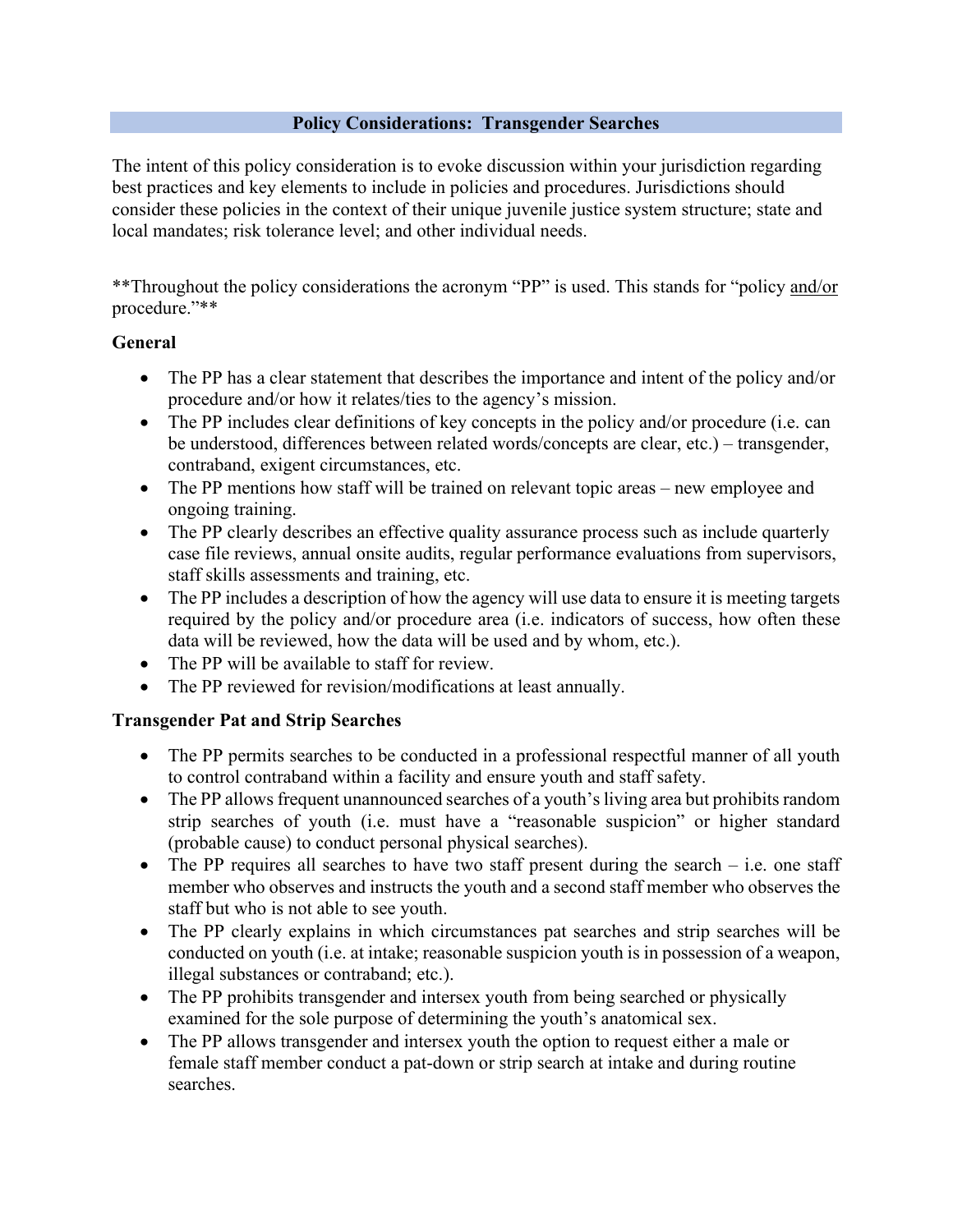## **Policy Considerations: Transgender Searches**

The intent of this policy consideration is to evoke discussion within your jurisdiction regarding best practices and key elements to include in policies and procedures. Jurisdictions should consider these policies in the context of their unique juvenile justice system structure; state and local mandates; risk tolerance level; and other individual needs.

\*\*Throughout the policy considerations the acronym "PP" is used. This stands for "policy and/or procedure."\*\*

## **General**

- The PP has a clear statement that describes the importance and intent of the policy and/or procedure and/or how it relates/ties to the agency's mission.
- The PP includes clear definitions of key concepts in the policy and/or procedure (i.e. can be understood, differences between related words/concepts are clear, etc.) – transgender, contraband, exigent circumstances, etc.
- The PP mentions how staff will be trained on relevant topic areas new employee and ongoing training.
- The PP clearly describes an effective quality assurance process such as include quarterly case file reviews, annual onsite audits, regular performance evaluations from supervisors, staff skills assessments and training, etc.
- The PP includes a description of how the agency will use data to ensure it is meeting targets required by the policy and/or procedure area (i.e. indicators of success, how often these data will be reviewed, how the data will be used and by whom, etc.).
- The PP will be available to staff for review.
- The PP reviewed for revision/modifications at least annually.

## **Transgender Pat and Strip Searches**

- The PP permits searches to be conducted in a professional respectful manner of all youth to control contraband within a facility and ensure youth and staff safety.
- The PP allows frequent unannounced searches of a youth's living area but prohibits random strip searches of youth (i.e. must have a "reasonable suspicion" or higher standard (probable cause) to conduct personal physical searches).
- The PP requires all searches to have two staff present during the search  $-$  i.e. one staff member who observes and instructs the youth and a second staff member who observes the staff but who is not able to see youth.
- The PP clearly explains in which circumstances pat searches and strip searches will be conducted on youth (i.e. at intake; reasonable suspicion youth is in possession of a weapon, illegal substances or contraband; etc.).
- The PP prohibits transgender and intersex youth from being searched or physically examined for the sole purpose of determining the youth's anatomical sex.
- The PP allows transgender and intersex youth the option to request either a male or female staff member conduct a pat-down or strip search at intake and during routine searches.